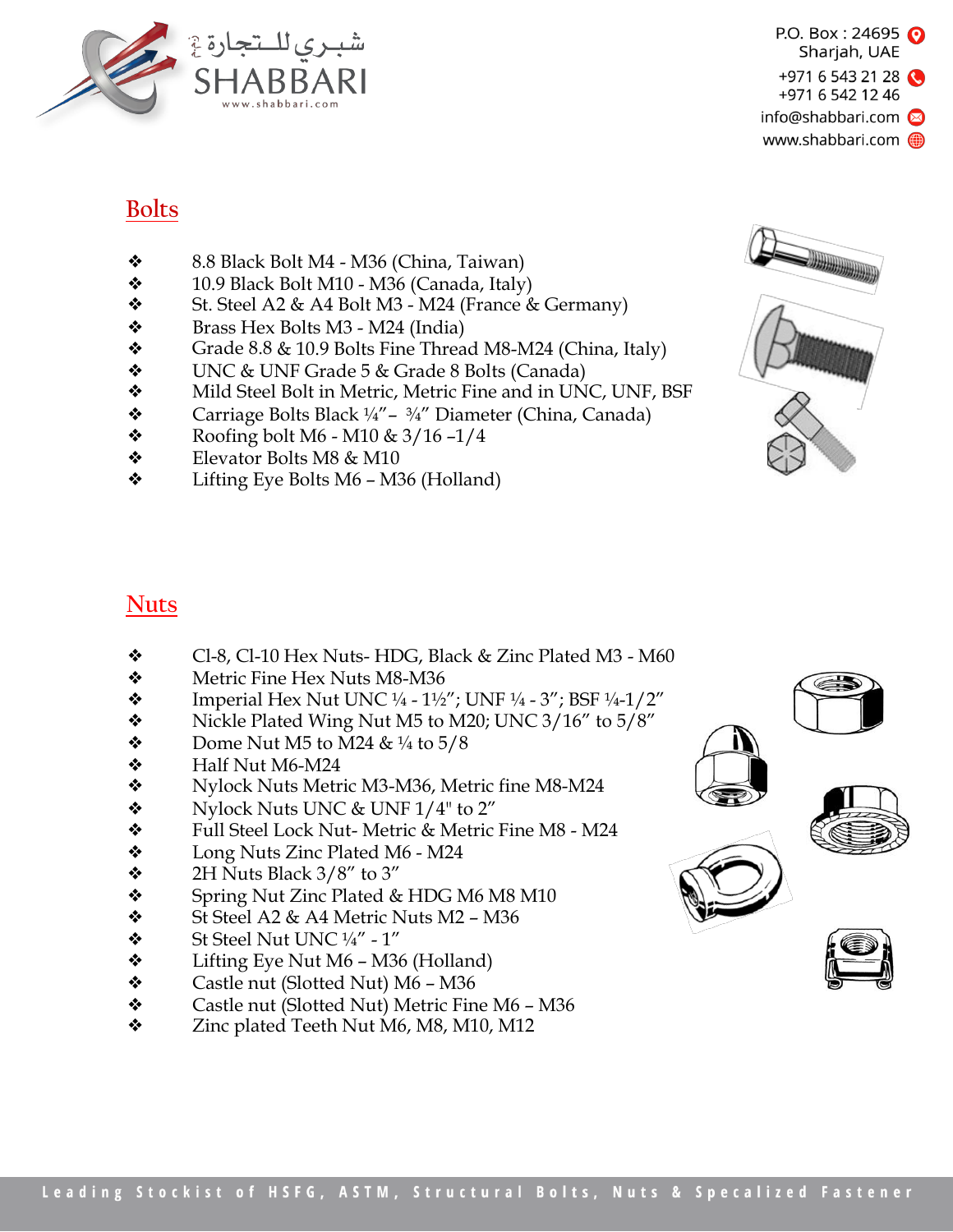

## **Bolts**

- ❖ 8.8 Black Bolt M4 M36 (China, Taiwan)
- $\div$  10.9 Black Bolt M10 M36 (Canada, Italy)
- $\bullet$  St. Steel A2 & A4 Bolt M3 M24 (France & Germany)
- $\bullet$  Brass Hex Bolts M3 M24 (India)
- $\bullet$  Grade 8.8 & 10.9 Bolts Fine Thread M8-M24 (China, Italy)
- ❖ UNC & UNF Grade 5 & Grade 8 Bolts (Canada)
- ❖ Mild Steel Bolt in Metric, Metric Fine and in UNC, UNF, BSF
- $\triangle$  Carriage Bolts Black ¼" ¾" Diameter (China, Canada)
- $\bullet$  Roofing bolt M6 M10 & 3/16 -1/4
- ❖ Elevator Bolts M8 & M10
- ❖ Lifting Eye Bolts M6 M36 (Holland)



# **Nuts**

- ❖ Cl-8, Cl-10 Hex Nuts- HDG, Black & Zinc Plated M3 M60
- ❖ Metric Fine Hex Nuts M8-M36
- ◆ Imperial Hex Nut UNC ¼ 1½"; UNF ¼ 3"; BSF ¼-1/2"<br>◆ Nickle Plated Wing Nut M5 to M20: UNC 3/16" to 5/8"
- Nickle Plated Wing Nut M5 to M20; UNC 3/16" to 5/8"
- $\bullet$  Dome Nut M5 to M24 & ¼ to 5/8
- $\div$  Half Nut M6-M24
- ❖ Nylock Nuts Metric M3-M36, Metric fine M8-M24
- $\bullet$  Nylock Nuts UNC & UNF 1/4" to 2"
- ❖ Full Steel Lock Nut- Metric & Metric Fine M8 M24
- ❖ Long Nuts Zinc Plated M6 M24
- $\div$  2H Nuts Black 3/8" to 3"
- ❖ Spring Nut Zinc Plated & HDG M6 M8 M10
- $\div$  St Steel A2 & A4 Metric Nuts M2 M36
- $\bullet$  St Steel Nut UNC  $\frac{1}{4}$ " 1"
- $\triangleleft$  Lifting Eye Nut M6 M36 (Holland)
- ❖ Castle nut (Slotted Nut) M6 M36
- ❖ Castle nut (Slotted Nut) Metric Fine M6 M36
- ❖ Zinc plated Teeth Nut M6, M8, M10, M12





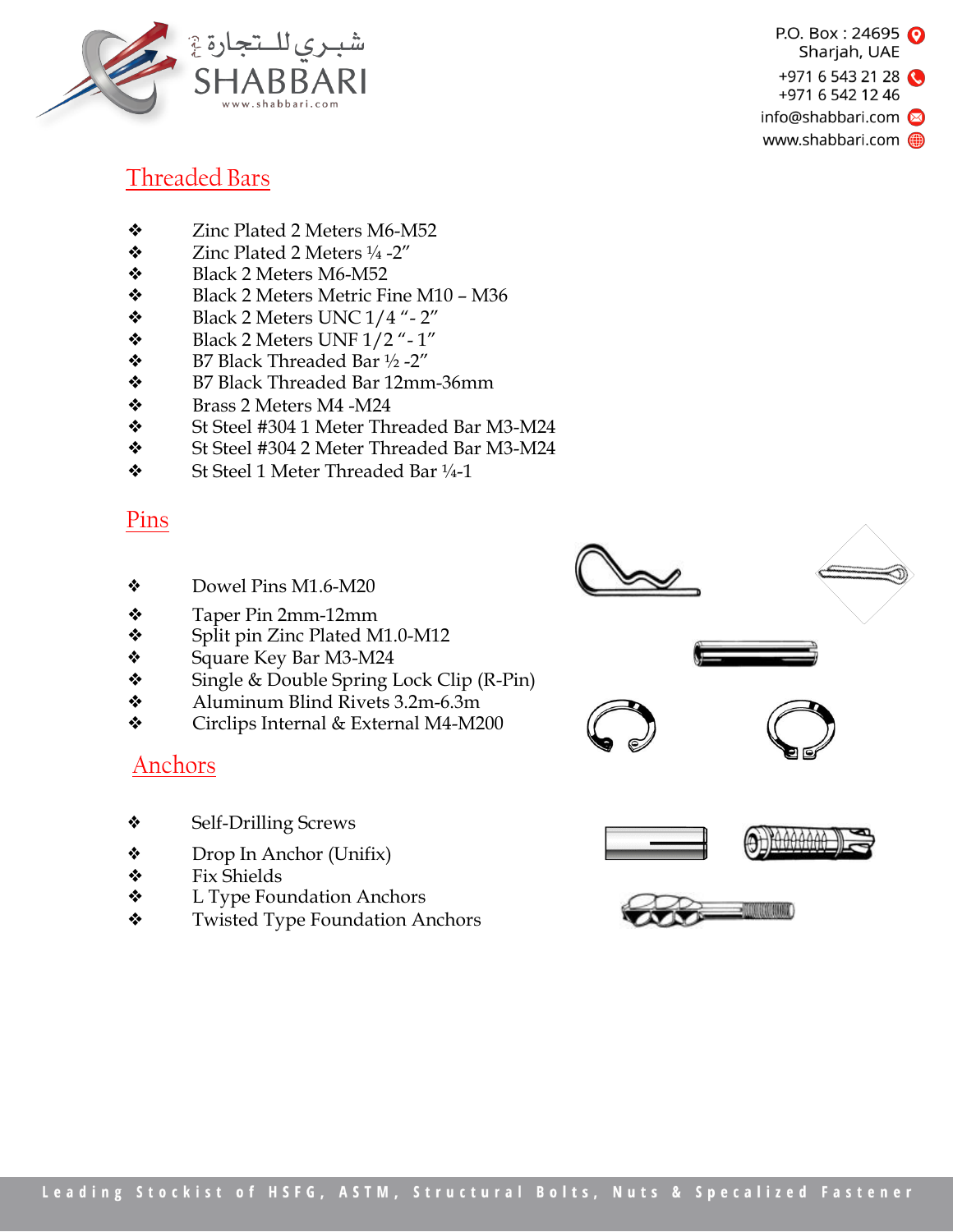



## Threaded Bars

- ❖ Zinc Plated 2 Meters M6-M52
- $\bullet$  Zinc Plated 2 Meters  $\frac{1}{4}$  -2"
- ❖ Black 2 Meters M6-M52
- ❖ Black 2 Meters Metric Fine M10 M36
- $\bullet$  Black 2 Meters UNC 1/4 "- 2"
- $\bullet$  Black 2 Meters UNF 1/2"-1"
- $\bullet$  B7 Black Threaded Bar  $\frac{1}{2}$  -2"
- ❖ B7 Black Threaded Bar 12mm-36mm
- ❖ Brass 2 Meters M4 -M24
- ◆ St Steel #304 1 Meter Threaded Bar M3-M24<br>◆ St Steel #304 2 Meter Threaded Bar M3-M24
- ❖ St Steel #304 2 Meter Threaded Bar M3-M24
- ❖ St Steel 1 Meter Threaded Bar ¼-1

#### Pins

- ❖ Dowel Pins M1.6-M20
- ❖ Taper Pin 2mm-12mm
- ❖ Split pin Zinc Plated M1.0-M12
- ❖ Square Key Bar M3-M24
- ❖ Single & Double Spring Lock Clip (R-Pin)
- ❖ Aluminum Blind Rivets 3.2m-6.3m
- ❖ Circlips Internal & External M4-M200

## Anchors

- ❖ Self-Drilling Screws
- ❖ Drop In Anchor (Unifix)
- ❖ Fix Shields
- ❖ L Type Foundation Anchors
- ❖ Twisted Type Foundation Anchors



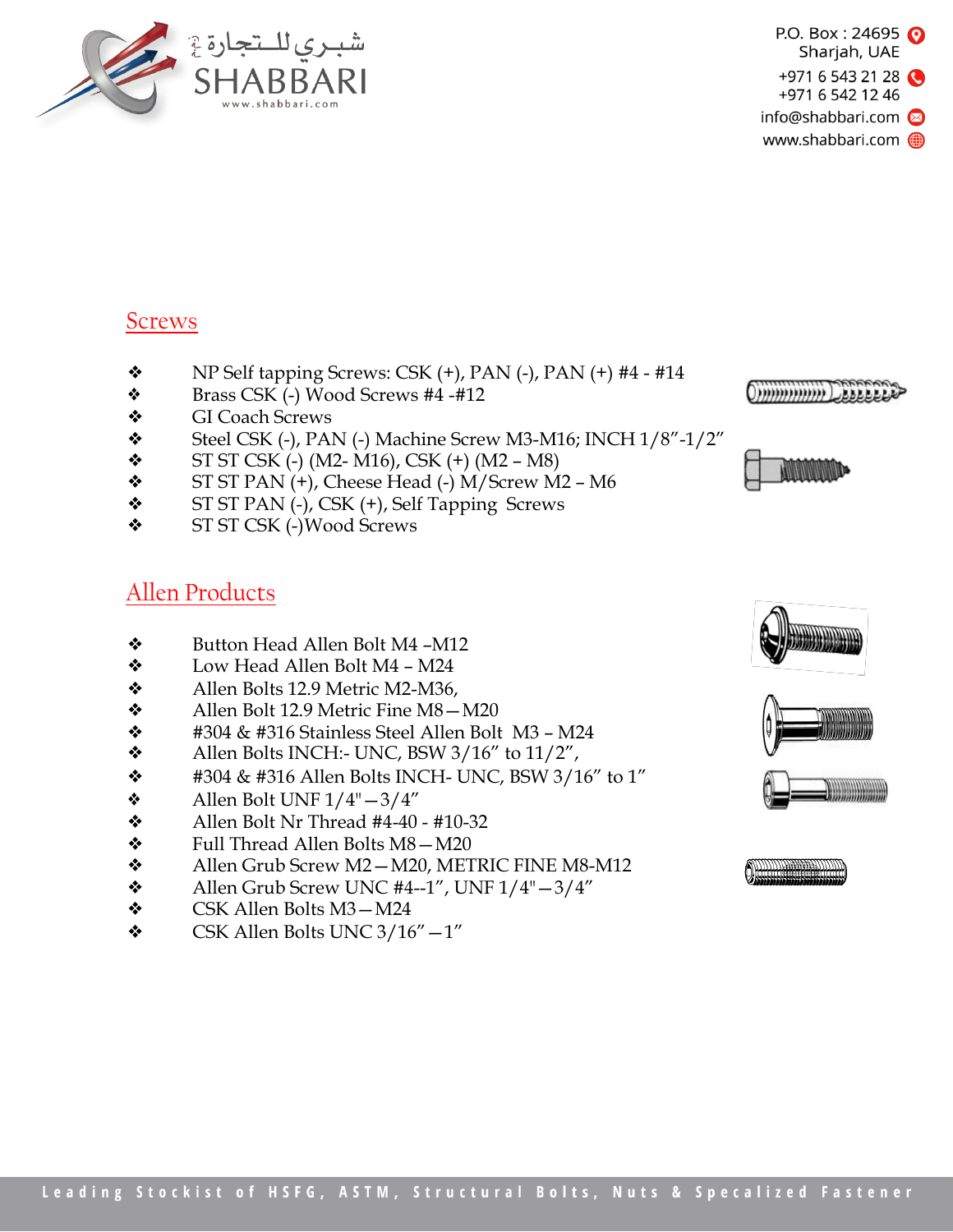



## **Screws**

- $\diamond$  NP Self tapping Screws: CSK (+), PAN (-), PAN (+) #4 #14
- ❖ Brass CSK (-) Wood Screws #4 -#12
- ❖ GI Coach Screws
- $\bullet$  Steel CSK (-), PAN (-) Machine Screw M3-M16; INCH  $1/8"$ -1/2"
- $\bullet$  ST ST CSK (-) (M2- M16), CSK (+) (M2 M8)
- $\div$  ST ST PAN  $(+)$ , Cheese Head  $(-)$  M/Screw M2 M6
- ❖ ST ST PAN (-), CSK (+), Self Tapping Screws
- ❖ ST ST CSK (-)Wood Screws

## Allen Products

- ❖ Button Head Allen Bolt M4 –M12
- ❖ Low Head Allen Bolt M4 M24
- ❖ Allen Bolts 12.9 Metric M2-M36,
- ❖ Allen Bolt 12.9 Metric Fine M8—M20
- $\div$  #304 & #316 Stainless Steel Allen Bolt M3 M24
- $\triangleleft$  Allen Bolts INCH:- UNC, BSW 3/16" to 11/2",
- $\div$  #304 & #316 Allen Bolts INCH- UNC, BSW 3/16" to 1"
- $\triangleleft$  Allen Bolt UNF  $1/4" 3/4"$
- $\lozenge$  Allen Bolt Nr Thread #4-40 #10-32
- ❖ Full Thread Allen Bolts M8—M20
- ❖ Allen Grub Screw M2—M20, METRIC FINE M8-M12
- $\triangleleft$  Allen Grub Screw UNC #4--1", UNF  $1/4" 3/4"$
- ❖ CSK Allen Bolts M3—M24
- $\bullet$  CSK Allen Bolts UNC 3/16" $-1$ "